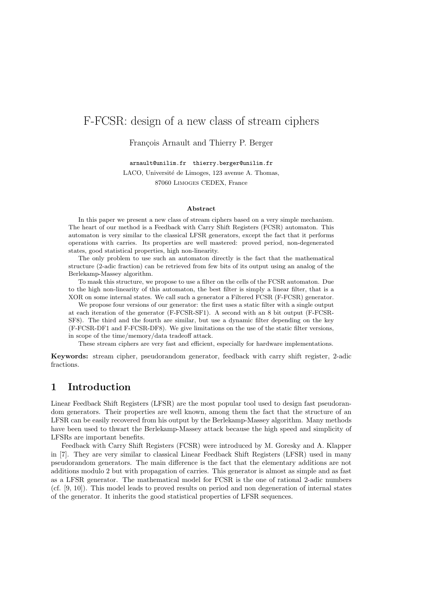# F-FCSR: design of a new class of stream ciphers

François Arnault and Thierry P. Berger

arnault@unilim.fr thierry.berger@unilim.fr

LACO, Université de Limoges, 123 avenue A. Thomas, 87060 Limoges CEDEX, France

#### Abstract

In this paper we present a new class of stream ciphers based on a very simple mechanism. The heart of our method is a Feedback with Carry Shift Registers (FCSR) automaton. This automaton is very similar to the classical LFSR generators, except the fact that it performs operations with carries. Its properties are well mastered: proved period, non-degenerated states, good statistical properties, high non-linearity.

The only problem to use such an automaton directly is the fact that the mathematical structure (2-adic fraction) can be retrieved from few bits of its output using an analog of the Berlekamp-Massey algorithm.

To mask this structure, we propose to use a filter on the cells of the FCSR automaton. Due to the high non-linearity of this automaton, the best filter is simply a linear filter, that is a XOR on some internal states. We call such a generator a Filtered FCSR (F-FCSR) generator.

We propose four versions of our generator: the first uses a static filter with a single output at each iteration of the generator (F-FCSR-SF1). A second with an 8 bit output (F-FCSR-SF8). The third and the fourth are similar, but use a dynamic filter depending on the key (F-FCSR-DF1 and F-FCSR-DF8). We give limitations on the use of the static filter versions, in scope of the time/memory/data tradeoff attack.

These stream ciphers are very fast and efficient, especially for hardware implementations.

Keywords: stream cipher, pseudorandom generator, feedback with carry shift register, 2-adic fractions.

# 1 Introduction

Linear Feedback Shift Registers (LFSR) are the most popular tool used to design fast pseudorandom generators. Their properties are well known, among them the fact that the structure of an LFSR can be easily recovered from his output by the Berlekamp-Massey algorithm. Many methods have been used to thwart the Berlekamp-Massey attack because the high speed and simplicity of LFSRs are important benefits.

Feedback with Carry Shift Registers (FCSR) were introduced by M. Goresky and A. Klapper in [7]. They are very similar to classical Linear Feedback Shift Registers (LFSR) used in many pseudorandom generators. The main difference is the fact that the elementary additions are not additions modulo 2 but with propagation of carries. This generator is almost as simple and as fast as a LFSR generator. The mathematical model for FCSR is the one of rational 2-adic numbers (cf. [9, 10]). This model leads to proved results on period and non degeneration of internal states of the generator. It inherits the good statistical properties of LFSR sequences.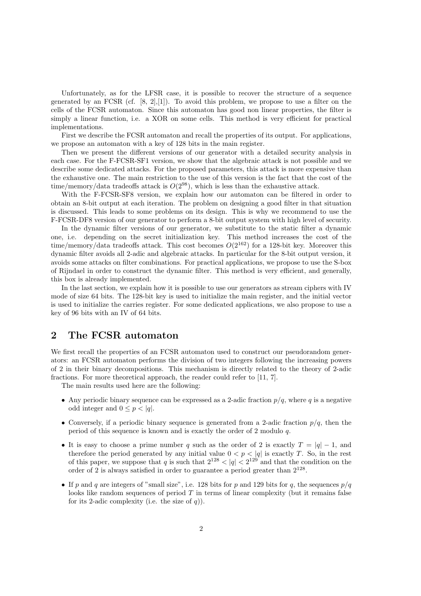Unfortunately, as for the LFSR case, it is possible to recover the structure of a sequence generated by an FCSR (cf.  $[8, 2]$ , $[1]$ ). To avoid this problem, we propose to use a filter on the cells of the FCSR automaton. Since this automaton has good non linear properties, the filter is simply a linear function, i.e. a XOR on some cells. This method is very efficient for practical implementations.

First we describe the FCSR automaton and recall the properties of its output. For applications, we propose an automaton with a key of 128 bits in the main register.

Then we present the different versions of our generator with a detailed security analysis in each case. For the F-FCSR-SF1 version, we show that the algebraic attack is not possible and we describe some dedicated attacks. For the proposed parameters, this attack is more expensive than the exhaustive one. The main restriction to the use of this version is the fact that the cost of the time/memory/data tradeoffs attack is  $O(2^{98})$ , which is less than the exhaustive attack.

With the F-FCSR-SF8 version, we explain how our automaton can be filtered in order to obtain an 8-bit output at each iteration. The problem on designing a good filter in that situation is discussed. This leads to some problems on its design. This is why we recommend to use the F-FCSR-DF8 version of our generator to perform a 8-bit output system with high level of security.

In the dynamic filter versions of our generator, we substitute to the static filter a dynamic one, i.e. depending on the secret initialization key. This method increases the cost of the time/memory/data tradeoffs attack. This cost becomes  $O(2^{162})$  for a 128-bit key. Moreover this dynamic filter avoids all 2-adic and algebraic attacks. In particular for the 8-bit output version, it avoids some attacks on filter combinations. For practical applications, we propose to use the S-box of Rijndael in order to construct the dynamic filter. This method is very efficient, and generally, this box is already implemented.

In the last section, we explain how it is possible to use our generators as stream ciphers with IV mode of size 64 bits. The 128-bit key is used to initialize the main register, and the initial vector is used to initialize the carries register. For some dedicated applications, we also propose to use a key of 96 bits with an IV of 64 bits.

# 2 The FCSR automaton

We first recall the properties of an FCSR automaton used to construct our pseudorandom generators: an FCSR automaton performs the division of two integers following the increasing powers of 2 in their binary decompositions. This mechanism is directly related to the theory of 2-adic fractions. For more theoretical approach, the reader could refer to [11, 7].

The main results used here are the following:

- Any periodic binary sequence can be expressed as a 2-adic fraction  $p/q$ , where q is a negative odd integer and  $0 \leq p < |q|$ .
- Conversely, if a periodic binary sequence is generated from a 2-adic fraction  $p/q$ , then the period of this sequence is known and is exactly the order of 2 modulo q.
- It is easy to choose a prime number q such as the order of 2 is exactly  $T = |q| 1$ , and therefore the period generated by any initial value  $0 < p < |q|$  is exactly T. So, in the rest of this paper, we suppose that q is such that  $2^{128} < |q| < 2^{129}$  and that the condition on the order of 2 is always satisfied in order to guarantee a period greater than  $2^{128}$ .
- If p and q are integers of "small size", i.e. 128 bits for p and 129 bits for q, the sequences  $p/q$ looks like random sequences of period  $T$  in terms of linear complexity (but it remains false for its 2-adic complexity (i.e. the size of  $q$ )).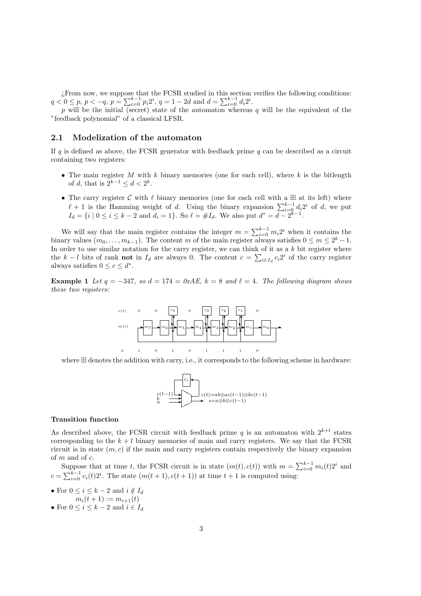¿From now, we suppose that the FCSR studied in this section verifies the following conditions:  $q < 0 \leq p, p < -q, p = \sum_{i=0}^{k-1} p_i 2^i, q = 1 - 2d$  and  $d = \sum_{i=0}^{k-1} d_i 2^i$ .

p will be the initial (secret) state of the automaton whereas q will be the equivalent of the "feedback polynomial" of a classical LFSR.

# 2.1 Modelization of the automaton

If q is defined as above, the FCSR generator with feedback prime q can be described as a circuit containing two registers:

- The main register M with k binary memories (one for each cell), where  $k$  is the bitlength of d, that is  $2^{k-1} \leq d < 2^k$ .
- The carry register  $C$  with  $\ell$  binary memories (one for each cell with a  $\boxplus$  at its left) where  $\ell + 1$  is the Hamming weight of d. Using the binary expansion  $\sum_{i=0}^{k-1} d_i 2^i$  of d, we put  $I_d = \{i \mid 0 \le i \le k-2 \text{ and } d_i = 1\}.$  So  $\ell = \#I_d$ . We also put  $d^* = d - 2^{k-1}$ .

We will say that the main register contains the integer  $m = \sum_{i=0}^{k-1} m_i 2^i$  when it contains the binary values  $(m_0, \ldots, m_{k-1})$ . The content m of the main register always satisfies  $0 \le m \le 2^k - 1$ . In order to use similar notation for the carry register, we can think of it as a  $k$  bit register where the  $k - l$  bits of rank **not** in  $I_d$  are always 0. The content  $c = \sum_{i \in I_d} c_i 2^i$  of the carry register always satisfies  $0 \leq c \leq d^*$ .

Example 1 Let  $q = -347$ , so  $d = 174 = 0xAE$ ,  $k = 8$  and  $\ell = 4$ . The following diagram shows these two registers:



where  $\boxplus$  denotes the addition with carry, i.e., it corresponds to the following scheme in hardware:



#### Transition function

As described above, the FCSR circuit with feedback prime q is an automaton with  $2^{k+l}$  states corresponding to the  $k + l$  binary memories of main and carry registers. We say that the FCSR circuit is in state  $(m, c)$  if the main and carry registers contain respectively the binary expansion of m and of c.

Suppose that at time t, the FCSR circuit is in state  $(m(t), c(t))$  with  $m = \sum_{i=0}^{k-1} m_i(t)2^i$  and  $c = \sum_{i=0}^{k-1} c_i(t) 2^i$ . The state  $(m(t+1), c(t+1))$  at time  $t+1$  is computed using:

- For  $0 \leq i \leq k-2$  and  $i \notin I_d$  $m_i(t + 1) := m_{i+1}(t)$
- For  $0 \leq i \leq k-2$  and  $i \in I_d$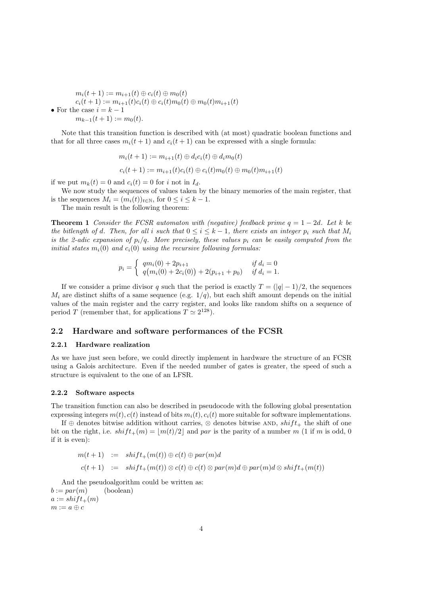$m_i(t + 1) := m_{i+1}(t) \oplus c_i(t) \oplus m_0(t)$  $c_i(t + 1) := m_{i+1}(t)c_i(t) \oplus c_i(t)m_0(t) \oplus m_0(t)m_{i+1}(t)$ • For the case  $i = k - 1$  $m_{k-1}(t+1) := m_0(t).$ 

Note that this transition function is described with (at most) quadratic boolean functions and that for all three cases  $m_i(t + 1)$  and  $c_i(t + 1)$  can be expressed with a single formula:

$$
m_i(t + 1) := m_{i+1}(t) \oplus d_i c_i(t) \oplus d_i m_0(t)
$$
  

$$
c_i(t + 1) := m_{i+1}(t)c_i(t) \oplus c_i(t)m_0(t) \oplus m_0(t)m_{i+1}(t)
$$

if we put  $m_k(t) = 0$  and  $c_i(t) = 0$  for i not in  $I_d$ .

We now study the sequences of values taken by the binary memories of the main register, that is the sequences  $M_i = (m_i(t))_{t \in \mathbb{N}}$ , for  $0 \le i \le k - 1$ .

The main result is the following theorem:

**Theorem 1** Consider the FCSR automaton with (negative) feedback prime  $q = 1 - 2d$ . Let k be the bitlength of d. Then, for all i such that  $0 \le i \le k-1$ , there exists an integer  $p_i$  such that  $M_i$ is the 2-adic expansion of  $p_i/q$ . More precisely, these values  $p_i$  can be easily computed from the initial states  $m_i(0)$  and  $c_i(0)$  using the recursive following formulas:

$$
p_i = \begin{cases} q m_i(0) + 2p_{i+1} & \text{if } d_i = 0\\ q \big( m_i(0) + 2c_i(0) \big) + 2(p_{i+1} + p_0) & \text{if } d_i = 1. \end{cases}
$$

If we consider a prime divisor q such that the period is exactly  $T = (|q| - 1)/2$ , the sequences  $M_i$  are distinct shifts of a same sequence (e.g.  $1/q$ ), but each shift amount depends on the initial values of the main register and the carry register, and looks like random shifts on a sequence of period T (remember that, for applications  $T \simeq 2^{128}$ ).

# 2.2 Hardware and software performances of the FCSR

### 2.2.1 Hardware realization

As we have just seen before, we could directly implement in hardware the structure of an FCSR using a Galois architecture. Even if the needed number of gates is greater, the speed of such a structure is equivalent to the one of an LFSR.

### 2.2.2 Software aspects

The transition function can also be described in pseudocode with the following global presentation expressing integers  $m(t)$ ,  $c(t)$  instead of bits  $m_i(t)$ ,  $c_i(t)$  more suitable for software implementations.

If ⊕ denotes bitwise addition without carries,  $\otimes$  denotes bitwise AND, shift the shift of one bit on the right, i.e.  $shift_{+}(m) = |m(t)/2|$  and par is the parity of a number m (1 if m is odd, 0) if it is even):

$$
m(t+1) := shift_{+}(m(t)) \oplus c(t) \oplus par(m)d
$$
  

$$
c(t+1) := shift_{+}(m(t)) \otimes c(t) \oplus c(t) \otimes par(m)d \oplus par(m)d \otimes shift_{+}(m(t))
$$

And the pseudoalgorithm could be written as:  $b := par(m)$  (boolean)  $a := shift_{+}(m)$  $m := a \oplus c$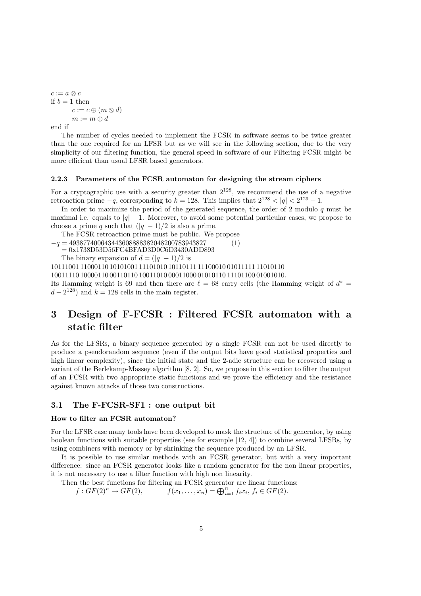$c := a \otimes c$ if  $b = 1$  then  $c := c \oplus (m \otimes d)$  $m := m \oplus d$ end if

The number of cycles needed to implement the FCSR in software seems to be twice greater than the one required for an LFSR but as we will see in the following section, due to the very simplicity of our filtering function, the general speed in software of our Filtering FCSR might be more efficient than usual LFSR based generators.

#### 2.2.3 Parameters of the FCSR automaton for designing the stream ciphers

For a cryptographic use with a security greater than  $2^{128}$ , we recommend the use of a negative retroaction prime  $-q$ , corresponding to  $k = 128$ . This implies that  $2^{128} < |q| < 2^{129} - 1$ .

In order to maximize the period of the generated sequence, the order of 2 modulo  $q$  must be maximal i.e. equals to  $|q| - 1$ . Moreover, to avoid some potential particular cases, we propose to choose a prime q such that  $(|q| - 1)/2$  is also a prime.

The FCSR retroaction prime must be public. We propose  $-q = 493877400643443608888382048200783943827$  (1)

= 0x1738D53D56FC4BFAD3D0C6D3430ADD893

The binary expansion of  $d = (|q| + 1)/2$  is

10111001 11000110 10101001 11101010 10110111 11100010 01011111 11010110

10011110 10000110 00110110 10011010 00011000 01010110 11101100 01001010.

Its Hamming weight is 69 and then there are  $\ell = 68$  carry cells (the Hamming weight of  $d^* =$  $d - 2^{128}$ ) and  $k = 128$  cells in the main register.

# 3 Design of F-FCSR : Filtered FCSR automaton with a static filter

As for the LFSRs, a binary sequence generated by a single FCSR can not be used directly to produce a pseudorandom sequence (even if the output bits have good statistical properties and high linear complexity), since the initial state and the 2-adic structure can be recovered using a variant of the Berlekamp-Massey algorithm [8, 2]. So, we propose in this section to filter the output of an FCSR with two appropriate static functions and we prove the efficiency and the resistance against known attacks of those two constructions.

# 3.1 The F-FCSR-SF1 : one output bit

# How to filter an FCSR automaton?

For the LFSR case many tools have been developed to mask the structure of the generator, by using boolean functions with suitable properties (see for example [12, 4]) to combine several LFSRs, by using combiners with memory or by shrinking the sequence produced by an LFSR.

It is possible to use similar methods with an FCSR generator, but with a very important difference: since an FCSR generator looks like a random generator for the non linear properties, it is not necessary to use a filter function with high non linearity.

Then the best functions for filtering an FCSR generator are linear functions:

 $f: GF(2)^n \rightarrow GF(2),$  $_{i=1}^{n} f_i x_i, f_i \in GF(2).$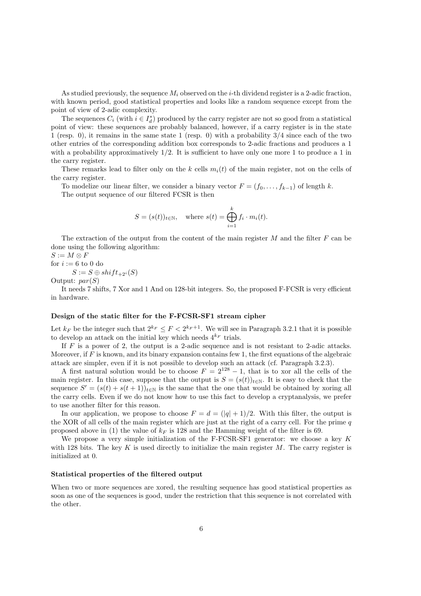As studied previously, the sequence  $M_i$  observed on the *i*-th dividend register is a 2-adic fraction, with known period, good statistical properties and looks like a random sequence except from the point of view of 2-adic complexity.

The sequences  $C_i$  (with  $i \in I_d^*$ ) produced by the carry register are not so good from a statistical point of view: these sequences are probably balanced, however, if a carry register is in the state 1 (resp. 0), it remains in the same state 1 (resp. 0) with a probability 3/4 since each of the two other entries of the corresponding addition box corresponds to 2-adic fractions and produces a 1 with a probability approximatively  $1/2$ . It is sufficient to have only one more 1 to produce a 1 in the carry register.

These remarks lead to filter only on the k cells  $m_i(t)$  of the main register, not on the cells of the carry register.

To modelize our linear filter, we consider a binary vector  $F = (f_0, \ldots, f_{k-1})$  of length k. The output sequence of our filtered FCSR is then

$$
S = (s(t))_{t \in \mathbb{N}}, \quad \text{where } s(t) = \bigoplus_{i=1}^{k} f_i \cdot m_i(t).
$$

The extraction of the output from the content of the main register  $M$  and the filter  $F$  can be done using the following algorithm:

 $S := M \otimes F$ 

for  $i := 6$  to 0 do

 $S := S \oplus shift_{+2^i}(S)$ 

Output:  $par(S)$ 

It needs 7 shifts, 7 Xor and 1 And on 128-bit integers. So, the proposed F-FCSR is very efficient in hardware.

## Design of the static filter for the F-FCSR-SF1 stream cipher

Let  $k_F$  be the integer such that  $2^{k_F} \leq F < 2^{k_F+1}$ . We will see in Paragraph 3.2.1 that it is possible to develop an attack on the initial key which needs  $4^{k_F}$  trials.

If  $F$  is a power of 2, the output is a 2-adic sequence and is not resistant to 2-adic attacks. Moreover, if  $F$  is known, and its binary expansion contains few 1, the first equations of the algebraic attack are simpler, even if it is not possible to develop such an attack (cf. Paragraph 3.2.3).

A first natural solution would be to choose  $F = 2^{128} - 1$ , that is to xor all the cells of the main register. In this case, suppose that the output is  $S = (s(t))_{t \in \mathbb{N}}$ . It is easy to check that the sequence  $S' = (s(t) + s(t+1))_{t \in \mathbb{N}}$  is the same that the one that would be obtained by xoring all the carry cells. Even if we do not know how to use this fact to develop a cryptanalysis, we prefer to use another filter for this reason.

In our application, we propose to choose  $F = d = (|q| + 1)/2$ . With this filter, the output is the XOR of all cells of the main register which are just at the right of a carry cell. For the prime  $q$ proposed above in (1) the value of  $k_F$  is 128 and the Hamming weight of the filter is 69.

We propose a very simple initialization of the F-FCSR-SF1 generator: we choose a key K with 128 bits. The key  $K$  is used directly to initialize the main register  $M$ . The carry register is initialized at 0.

#### Statistical properties of the filtered output

When two or more sequences are xored, the resulting sequence has good statistical properties as soon as one of the sequences is good, under the restriction that this sequence is not correlated with the other.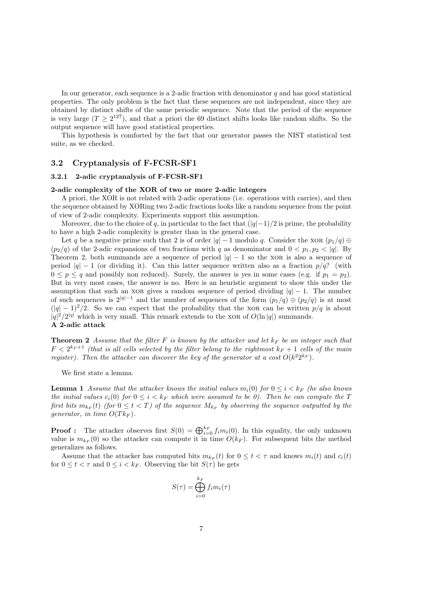In our generator, each sequence is a 2-adic fraction with denominator  $q$  and has good statistical properties. The only problem is the fact that these sequences are not independent, since they are obtained by distinct shifts of the same periodic sequence. Note that the period of the sequence is very large  $(T \geq 2^{127})$ , and that a priori the 69 distinct shifts looks like random shifts. So the output sequence will have good statistical properties.

This hypothesis is comforted by the fact that our generator passes the NIST statistical test suite, as we checked.

# 3.2 Cryptanalysis of F-FCSR-SF1

# 3.2.1 2-adic cryptanalysis of F-FCSR-SF1

#### 2-adic complexity of the XOR of two or more 2-adic integers

A priori, the XOR is not related with 2-adic operations (i.e. operations with carries), and then the sequence obtained by XORing two 2-adic fractions looks like a random sequence from the point of view of 2-adic complexity. Experiments support this assumption.

Moreover, due to the choice of q, in particular to the fact that  $(|q|-1)/2$  is prime, the probability to have a high 2-adic complexity is greater than in the general case.

Let q be a negative prime such that 2 is of order  $|q| - 1$  modulo q. Consider the xor  $(p_1/q) \oplus$  $(p_2/q)$  of the 2-adic expansions of two fractions with q as denominator and  $0 < p_1, p_2 < |q|$ . By Theorem 2, both summands are a sequence of period  $|q| - 1$  so the XOR is also a sequence of period  $|q| - 1$  (or dividing it). Can this latter sequence written also as a fraction  $p/q$ ? (with  $0 \le p \le q$  and possibly non reduced). Surely, the answer is yes in some cases (e.g. if  $p_1 = p_2$ ). But in very most cases, the answer is no. Here is an heuristic argument to show this under the assumption that such an xor gives a random sequence of period dividing  $|q| - 1$ . The number of such sequences is  $2^{|q|-1}$  and the number of sequences of the form  $(p_1/q) \oplus (p_2/q)$  is at most  $(|q| - 1)^2/2$ . So we can expect that the probability that the XOR can be written  $p/q$  is about  $|q|^2/2^{|q|}$  which is very small. This remark extends to the XOR of  $O(\ln|q|)$  summands. A 2-adic attack

**Theorem 2** Assume that the filter F is known by the attacker and let  $k_F$  be an integer such that  $F < 2^{k_F+1}$  (that is all cells selected by the filter belong to the rightmost  $k_F + 1$  cells of the main register). Then the attacker can discover the key of the generator at a cost  $O(k^2 2^{k_F})$ .

We first state a lemma.

**Lemma 1** Assume that the attacker knows the initial values  $m_i(0)$  for  $0 \le i \le k_F$  (he also knows the initial values  $c_i(0)$  for  $0 \le i \le k_F$  which were assumed to be 0). Then he can compute the T first bits  $m_{k_F}(t)$  (for  $0 \leq t < T$ ) of the sequence  $M_{k_F}$  by observing the sequence outputted by the generator, in time  $O(Tk_F)$ .

**Proof :** The attacker observes first  $S(0) = \bigoplus_{i=0}^{k_F} f_i m_i(0)$ . In this equality, the only unknown value is  $m_{k_F}(0)$  so the attacker can compute it in time  $O(k_F)$ . For subsequent bits the method generalizes as follows.

Assume that the attacker has computed bits  $m_{k_F}(t)$  for  $0 \le t < \tau$  and knows  $m_i(t)$  and  $c_i(t)$ for  $0 \leq t < \tau$  and  $0 \leq i < k_F$ . Observing the bit  $S(\tau)$  he gets

$$
S(\tau) = \bigoplus_{i=0}^{k_F} f_i m_i(\tau)
$$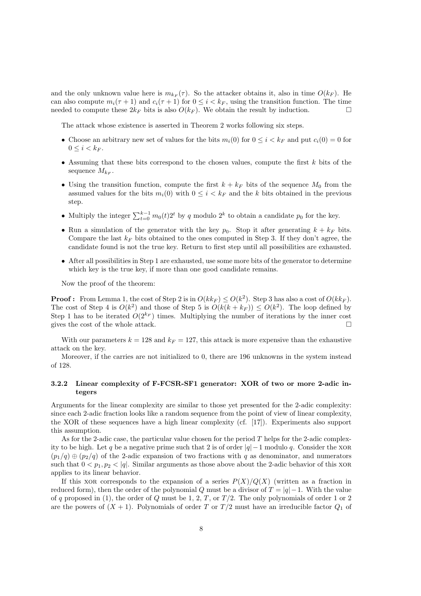and the only unknown value here is  $m_{k_F}(\tau)$ . So the attacker obtains it, also in time  $O(k_F)$ . He can also compute  $m_i(\tau + 1)$  and  $c_i(\tau + 1)$  for  $0 \leq i \leq k_F$ , using the transition function. The time needed to compute these  $2k_F$  bits is also  $O(k_F)$ . We obtain the result by induction.

The attack whose existence is asserted in Theorem 2 works following six steps.

- Choose an arbitrary new set of values for the bits  $m_i(0)$  for  $0 \le i \le k_F$  and put  $c_i(0) = 0$  for  $0 \leq i < k_F$ .
- Assuming that these bits correspond to the chosen values, compute the first  $k$  bits of the sequence  $M_{k_F}$ .
- Using the transition function, compute the first  $k + k_F$  bits of the sequence  $M_0$  from the assumed values for the bits  $m_i(0)$  with  $0 \leq i \leq k_F$  and the k bits obtained in the previous step.
- Multiply the integer  $\sum_{t=0}^{k-1} m_0(t) 2^t$  by q modulo  $2^k$  to obtain a candidate  $p_0$  for the key.
- Run a simulation of the generator with the key  $p_0$ . Stop it after generating  $k + k_F$  bits. Compare the last  $k_F$  bits obtained to the ones computed in Step 3. If they don't agree, the candidate found is not the true key. Return to first step until all possibilities are exhausted.
- After all possibilities in Step 1 are exhausted, use some more bits of the generator to determine which key is the true key, if more than one good candidate remains.

Now the proof of the theorem:

**Proof:** From Lemma 1, the cost of Step 2 is in  $O(kk_F) \le O(k^2)$ . Step 3 has also a cost of  $O(kk_F)$ . The cost of Step 4 is  $O(k^2)$  and those of Step 5 is  $O(k(k + k_F)) \le O(k^2)$ . The loop defined by Step 1 has to be iterated  $O(2^{k_F})$  times. Multiplying the number of iterations by the inner cost gives the cost of the whole attack.  $\square$ 

With our parameters  $k = 128$  and  $k_F = 127$ , this attack is more expensive than the exhaustive attack on the key.

Moreover, if the carries are not initialized to 0, there are 196 unknowns in the system instead of 128.

# 3.2.2 Linear complexity of F-FCSR-SF1 generator: XOR of two or more 2-adic integers

Arguments for the linear complexity are similar to those yet presented for the 2-adic complexity: since each 2-adic fraction looks like a random sequence from the point of view of linear complexity, the XOR of these sequences have a high linear complexity (cf. [17]). Experiments also support this assumption.

As for the 2-adic case, the particular value chosen for the period  $T$  helps for the 2-adic complexity to be high. Let q be a negative prime such that 2 is of order  $|q|-1$  modulo q. Consider the XOR  $(p_1/q) \oplus (p_2/q)$  of the 2-adic expansion of two fractions with q as denominator, and numerators such that  $0 < p_1, p_2 < |q|$ . Similar arguments as those above about the 2-adic behavior of this XOR applies to its linear behavior.

If this xore corresponds to the expansion of a series  $P(X)/Q(X)$  (written as a fraction in reduced form), then the order of the polynomial Q must be a divisor of  $T = |q| - 1$ . With the value of q proposed in (1), the order of Q must be 1, 2,  $T$ , or  $T/2$ . The only polynomials of order 1 or 2 are the powers of  $(X + 1)$ . Polynomials of order T or  $T/2$  must have an irreducible factor  $Q_1$  of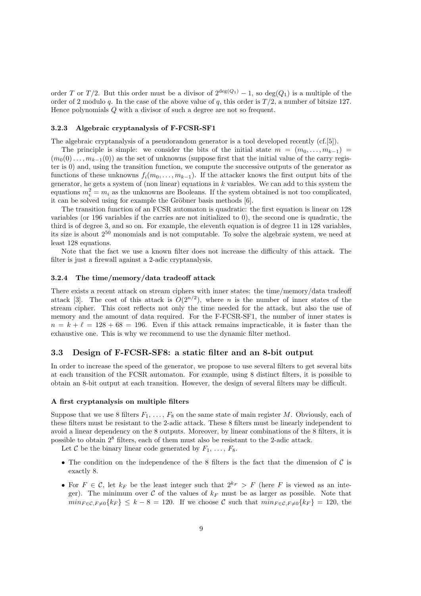order T or T/2. But this order must be a divisor of  $2^{\deg(Q_1)} - 1$ , so  $\deg(Q_1)$  is a multiple of the order of 2 modulo q. In the case of the above value of q, this order is  $T/2$ , a number of bitsize 127. Hence polynomials Q with a divisor of such a degree are not so frequent.

#### 3.2.3 Algebraic cryptanalysis of F-FCSR-SF1

The algebraic cryptanalysis of a pseudorandom generator is a tool developed recently (cf.[5]).

The principle is simple: we consider the bits of the initial state  $m = (m_0, \ldots, m_{k-1}) =$  $(m_0(0), \ldots, m_{k-1}(0))$  as the set of unknowns (suppose first that the initial value of the carry register is 0) and, using the transition function, we compute the successive outputs of the generator as functions of these unknowns  $f_i(m_0, \ldots, m_{k-1})$ . If the attacker knows the first output bits of the generator, he gets a system of (non linear) equations in  $k$  variables. We can add to this system the equations  $m_i^2 = m_i$  as the unknowns are Booleans. If the system obtained is not too complicated, it can be solved using for example the Gröbner basis methods [6].

The transition function of an FCSR automaton is quadratic: the first equation is linear on 128 variables (or 196 variables if the carries are not initialized to 0), the second one is quadratic, the third is of degree 3, and so on. For example, the eleventh equation is of degree 11 in 128 variables, its size is about 2<sup>50</sup> monomials and is not computable. To solve the algebraic system, we need at least 128 equations.

Note that the fact we use a known filter does not increase the difficulty of this attack. The filter is just a firewall against a 2-adic cryptanalysis.

#### 3.2.4 The time/memory/data tradeoff attack

There exists a recent attack on stream ciphers with inner states: the time/memory/data tradeoff attack [3]. The cost of this attack is  $O(2^{n/2})$ , where *n* is the number of inner states of the stream cipher. This cost reflects not only the time needed for the attack, but also the use of memory and the amount of data required. For the F-FCSR-SF1, the number of inner states is  $n = k + \ell = 128 + 68 = 196$ . Even if this attack remains impracticable, it is faster than the exhaustive one. This is why we recommend to use the dynamic filter method.

#### 3.3 Design of F-FCSR-SF8: a static filter and an 8-bit output

In order to increase the speed of the generator, we propose to use several filters to get several bits at each transition of the FCSR automaton. For example, using 8 distinct filters, it is possible to obtain an 8-bit output at each transition. However, the design of several filters may be difficult.

### A first cryptanalysis on multiple filters

Suppose that we use 8 filters  $F_1, \ldots, F_8$  on the same state of main register M. Obviously, each of these filters must be resistant to the 2-adic attack. These 8 filters must be linearly independent to avoid a linear dependency on the 8 outputs. Moreover, by linear combinations of the 8 filters, it is possible to obtain 2<sup>8</sup> filters, each of them must also be resistant to the 2-adic attack.

Let C be the binary linear code generated by  $F_1, \ldots, F_8$ .

- The condition on the independence of the 8 filters is the fact that the dimension of  $\mathcal C$  is exactly 8.
- For  $F \in \mathcal{C}$ , let  $k_F$  be the least integer such that  $2^{k_F} > F$  (here F is viewed as an integer). The minimum over C of the values of  $k_F$  must be as larger as possible. Note that  $min_{F \in \mathcal{C}} F \neq 0} \{k_F\} \leq k - 8 = 120$ . If we choose C such that  $min_{F \in \mathcal{C}} F \neq 0} \{k_F\} = 120$ , the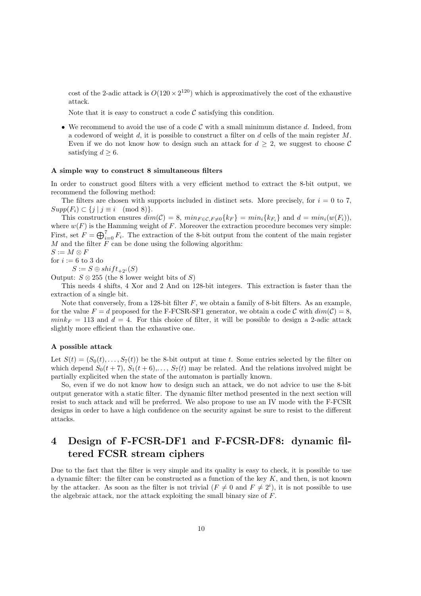cost of the 2-adic attack is  $O(120 \times 2^{120})$  which is approximatively the cost of the exhaustive attack.

Note that it is easy to construct a code  $\mathcal C$  satisfying this condition.

• We recommend to avoid the use of a code  $\mathcal C$  with a small minimum distance  $d$ . Indeed, from a codeword of weight  $d$ , it is possible to construct a filter on  $d$  cells of the main register  $M$ . Even if we do not know how to design such an attack for  $d \geq 2$ , we suggest to choose C satisfying  $d \geq 6$ .

#### A simple way to construct 8 simultaneous filters

In order to construct good filters with a very efficient method to extract the 8-bit output, we recommend the following method:

The filters are chosen with supports included in distinct sets. More precisely, for  $i = 0$  to 7,  $Supp(F_i) \subset \{j \mid j \equiv i \pmod{8}\}.$ 

This construction ensures  $dim(\mathcal{C}) = 8$ ,  $min_{F \in \mathcal{C}, F \neq 0} \{k_F\} = min_i \{k_{F_i}\}\$ and  $d = min_i(w(F_i)),$ where  $w(F)$  is the Hamming weight of F. Moreover the extraction procedure becomes very simple: First, set  $F = \bigoplus_{i=0}^{7} F_i$ . The extraction of the 8-bit output from the content of the main register  $M$  and the filter  $\overline{F}$  can be done using the following algorithm:

$$
S := M \otimes F
$$
  
for  $i := 6$  to 3 do

 $S := S \oplus shift_{+2^i}(S)$ 

Output:  $S \otimes 255$  (the 8 lower weight bits of S)

This needs 4 shifts, 4 Xor and 2 And on 128-bit integers. This extraction is faster than the extraction of a single bit.

Note that conversely, from a 128-bit filter  $F$ , we obtain a family of 8-bit filters. As an example, for the value  $F = d$  proposed for the F-FCSR-SF1 generator, we obtain a code C with  $dim(\mathcal{C}) = 8$ ,  $mink_F = 113$  and  $d = 4$ . For this choice of filter, it will be possible to design a 2-adic attack slightly more efficient than the exhaustive one.

#### A possible attack

Let  $S(t) = (S_0(t), \ldots, S_7(t))$  be the 8-bit output at time t. Some entries selected by the filter on which depend  $S_0(t + 7)$ ,  $S_1(t + 6)$ ,...,  $S_7(t)$  may be related. And the relations involved might be partially explicited when the state of the automaton is partially known.

So, even if we do not know how to design such an attack, we do not advice to use the 8-bit output generator with a static filter. The dynamic filter method presented in the next section will resist to such attack and will be preferred. We also propose to use an IV mode with the F-FCSR designs in order to have a high confidence on the security against be sure to resist to the different attacks.

# 4 Design of F-FCSR-DF1 and F-FCSR-DF8: dynamic filtered FCSR stream ciphers

Due to the fact that the filter is very simple and its quality is easy to check, it is possible to use a dynamic filter: the filter can be constructed as a function of the key  $K$ , and then, is not known by the attacker. As soon as the filter is not trivial  $(F \neq 0$  and  $F \neq 2^{i}$ , it is not possible to use the algebraic attack, nor the attack exploiting the small binary size of F.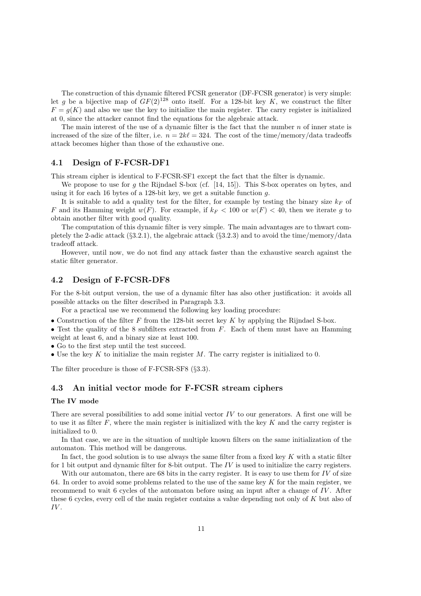The construction of this dynamic filtered FCSR generator (DF-FCSR generator) is very simple: let g be a bijective map of  $GF(2)^{128}$  onto itself. For a 128-bit key K, we construct the filter  $F = g(K)$  and also we use the key to initialize the main register. The carry register is initialized at 0, since the attacker cannot find the equations for the algebraic attack.

The main interest of the use of a dynamic filter is the fact that the number  $n$  of inner state is increased of the size of the filter, i.e.  $n = 2k\ell = 324$ . The cost of the time/memory/data tradeoffs attack becomes higher than those of the exhaustive one.

# 4.1 Design of F-FCSR-DF1

This stream cipher is identical to F-FCSR-SF1 except the fact that the filter is dynamic.

We propose to use for q the Rijndael S-box (cf.  $[14, 15]$ ). This S-box operates on bytes, and using it for each 16 bytes of a 128-bit key, we get a suitable function g.

It is suitable to add a quality test for the filter, for example by testing the binary size  $k_F$  of F and its Hamming weight  $w(F)$ . For example, if  $k_F < 100$  or  $w(F) < 40$ , then we iterate g to obtain another filter with good quality.

The computation of this dynamic filter is very simple. The main advantages are to thwart completely the 2-adic attack (§3.2.1), the algebraic attack (§3.2.3) and to avoid the time/memory/data tradeoff attack.

However, until now, we do not find any attack faster than the exhaustive search against the static filter generator.

# 4.2 Design of F-FCSR-DF8

For the 8-bit output version, the use of a dynamic filter has also other justification: it avoids all possible attacks on the filter described in Paragraph 3.3.

For a practical use we recommend the following key loading procedure:

• Construction of the filter  $F$  from the 128-bit secret key  $K$  by applying the Rijndael S-box.

• Test the quality of the 8 subfilters extracted from  $F$ . Each of them must have an Hamming weight at least 6, and a binary size at least 100.

• Go to the first step until the test succeed.

• Use the key K to initialize the main register  $M$ . The carry register is initialized to 0.

The filter procedure is those of F-FCSR-SF8 (§3.3).

# 4.3 An initial vector mode for F-FCSR stream ciphers

# The IV mode

There are several possibilities to add some initial vector  $IV$  to our generators. A first one will be to use it as filter  $F$ , where the main register is initialized with the key  $K$  and the carry register is initialized to 0.

In that case, we are in the situation of multiple known filters on the same initialization of the automaton. This method will be dangerous.

In fact, the good solution is to use always the same filter from a fixed key  $K$  with a static filter for 1 bit output and dynamic filter for 8-bit output. The  $IV$  is used to initialize the carry registers.

With our automaton, there are 68 bits in the carry register. It is easy to use them for  $IV$  of size 64. In order to avoid some problems related to the use of the same key  $K$  for the main register, we recommend to wait 6 cycles of the automaton before using an input after a change of IV . After these 6 cycles, every cell of the main register contains a value depending not only of K but also of IV .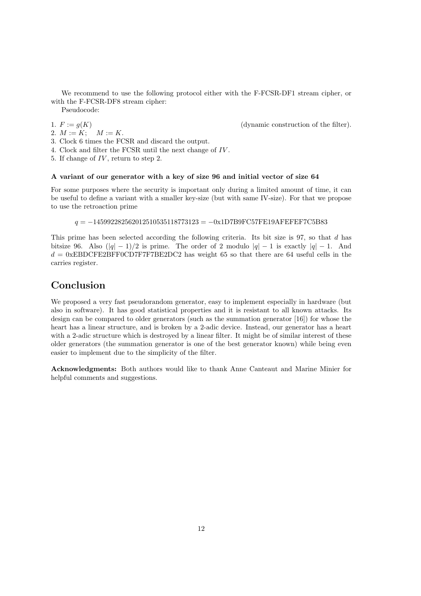We recommend to use the following protocol either with the F-FCSR-DF1 stream cipher, or with the F-FCSR-DF8 stream cipher:

Pseudocode:

2.  $M := K$ ;  $M := K$ .

3. Clock 6 times the FCSR and discard the output.

- 4. Clock and filter the FCSR until the next change of IV .
- 5. If change of IV, return to step 2.

#### A variant of our generator with a key of size 96 and initial vector of size 64

For some purposes where the security is important only during a limited amount of time, it can be useful to define a variant with a smaller key-size (but with same IV-size). For that we propose to use the retroaction prime

 $q = -145992282562012510535118773123 = -0x1D7B9FC57FE19AFEFEFTC5B83$ 

This prime has been selected according the following criteria. Its bit size is 97, so that d has bitsize 96. Also  $(|q| - 1)/2$  is prime. The order of 2 modulo  $|q| - 1$  is exactly  $|q| - 1$ . And  $d = 0$ xEBDCFE2BFF0CD7F7F7BE2DC2 has weight 65 so that there are 64 useful cells in the carries register.

# Conclusion

We proposed a very fast pseudorandom generator, easy to implement especially in hardware (but also in software). It has good statistical properties and it is resistant to all known attacks. Its design can be compared to older generators (such as the summation generator [16]) for whose the heart has a linear structure, and is broken by a 2-adic device. Instead, our generator has a heart with a 2-adic structure which is destroyed by a linear filter. It might be of similar interest of these older generators (the summation generator is one of the best generator known) while being even easier to implement due to the simplicity of the filter.

Acknowledgments: Both authors would like to thank Anne Canteaut and Marine Minier for helpful comments and suggestions.

1.  $F := g(K)$  (dynamic construction of the filter).